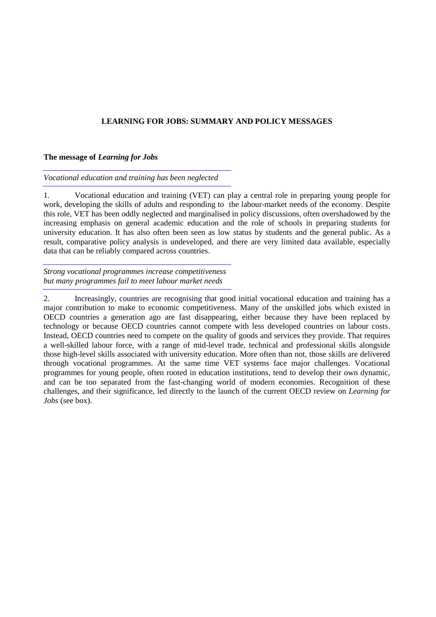# **LEARNING FOR JOBS: SUMMARY AND POLICY MESSAGES**

## **The message of** *Learning for Jobs*

*Vocational education and training has been neglected*

1. Vocational education and training (VET) can play a central role in preparing young people for work, developing the skills of adults and responding to the labour-market needs of the economy. Despite this role, VET has been oddly neglected and marginalised in policy discussions, often overshadowed by the increasing emphasis on general academic education and the role of schools in preparing students for university education. It has also often been seen as low status by students and the general public. As a result, comparative policy analysis is undeveloped, and there are very limited data available, especially data that can be reliably compared across countries.

*Strong vocational programmes increase competitiveness but many programmes fail to meet labour market needs*

2. Increasingly, countries are recognising that good initial vocational education and training has a major contribution to make to economic competitiveness. Many of the unskilled jobs which existed in OECD countries a generation ago are fast disappearing, either because they have been replaced by technology or because OECD countries cannot compete with less developed countries on labour costs. Instead, OECD countries need to compete on the quality of goods and services they provide. That requires a well-skilled labour force, with a range of mid-level trade, technical and professional skills alongside those high-level skills associated with university education. More often than not, those skills are delivered through vocational programmes. At the same time VET systems face major challenges. Vocational programmes for young people, often rooted in education institutions, tend to develop their own dynamic, and can be too separated from the fast-changing world of modern economies. Recognition of these challenges, and their significance, led directly to the launch of the current OECD review on *Learning for Jobs* (see box).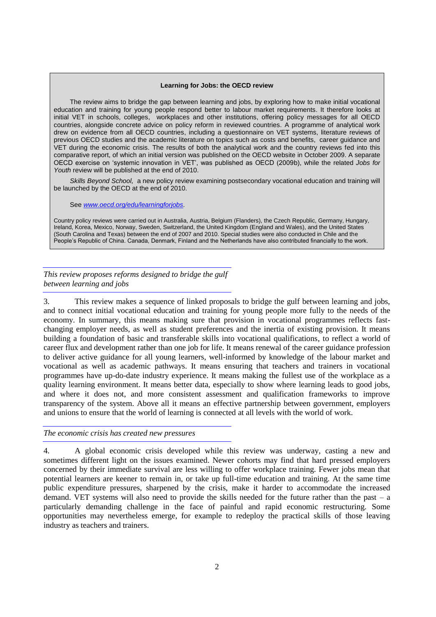#### **Learning for Jobs: the OECD review**

The review aims to bridge the gap between learning and jobs, by exploring how to make initial vocational education and training for young people respond better to labour market requirements. It therefore looks at initial VET in schools, colleges, workplaces and other institutions, offering policy messages for all OECD countries, alongside concrete advice on policy reform in reviewed countries. A programme of analytical work drew on evidence from all OECD countries, including a questionnaire on VET systems, literature reviews of previous OECD studies and the academic literature on topics such as costs and benefits, career guidance and VET during the economic crisis. The results of both the analytical work and the country reviews fed into this comparative report, of which an initial version was published on the OECD website in October 2009. A separate OECD exercise on 'systemic innovation in VET', was published as OECD (2009b), while the related *Jobs for Youth* review will be published at the end of 2010.

*Skills Beyond School,* a new policy review examining postsecondary vocational education and training will be launched by the OECD at the end of 2010.

See *[www.oecd.org/edu/learningforjobs.](http://www.oecd.org/edu/learningforjobs)*

Country policy reviews were carried out in Australia, Austria, Belgium (Flanders), the Czech Republic, Germany, Hungary, Ireland, Korea, Mexico, Norway, Sweden, Switzerland, the United Kingdom (England and Wales), and the United States (South Carolina and Texas) between the end of 2007 and 2010. Special studies were also conducted in Chile and the People's Republic of China. Canada, Denmark, Finland and the Netherlands have also contributed financially to the work.

*This review proposes reforms designed to bridge the gulf between learning and jobs*

3. This review makes a sequence of linked proposals to bridge the gulf between learning and jobs, and to connect initial vocational education and training for young people more fully to the needs of the economy. In summary, this means making sure that provision in vocational programmes reflects fastchanging employer needs, as well as student preferences and the inertia of existing provision. It means building a foundation of basic and transferable skills into vocational qualifications, to reflect a world of career flux and development rather than one job for life. It means renewal of the career guidance profession to deliver active guidance for all young learners, well-informed by knowledge of the labour market and vocational as well as academic pathways. It means ensuring that teachers and trainers in vocational programmes have up-do-date industry experience. It means making the fullest use of the workplace as a quality learning environment. It means better data, especially to show where learning leads to good jobs, and where it does not, and more consistent assessment and qualification frameworks to improve transparency of the system. Above all it means an effective partnership between government, employers and unions to ensure that the world of learning is connected at all levels with the world of work.

*The economic crisis has created new pressures*

4. A global economic crisis developed while this review was underway, casting a new and sometimes different light on the issues examined. Newer cohorts may find that hard pressed employers concerned by their immediate survival are less willing to offer workplace training. Fewer jobs mean that potential learners are keener to remain in, or take up full-time education and training. At the same time public expenditure pressures, sharpened by the crisis, make it harder to accommodate the increased demand. VET systems will also need to provide the skills needed for the future rather than the past – a particularly demanding challenge in the face of painful and rapid economic restructuring. Some opportunities may nevertheless emerge, for example to redeploy the practical skills of those leaving industry as teachers and trainers.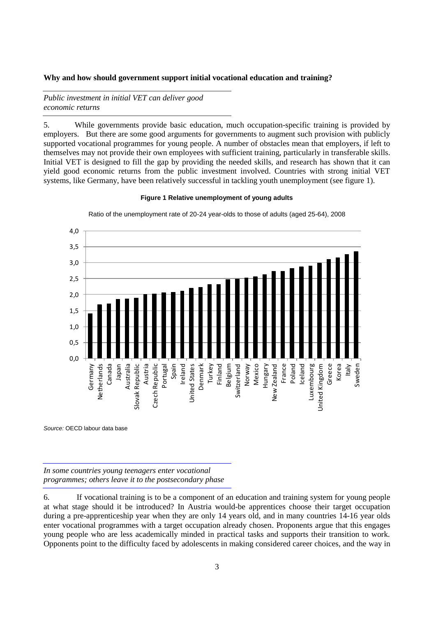### **Why and how should government support initial vocational education and training?**

*Public investment in initial VET can deliver good economic returns*

5. While governments provide basic education, much occupation-specific training is provided by employers. But there are some good arguments for governments to augment such provision with publicly supported vocational programmes for young people. A number of obstacles mean that employers, if left to themselves may not provide their own employees with sufficient training, particularly in transferable skills. Initial VET is designed to fill the gap by providing the needed skills, and research has shown that it can yield good economic returns from the public investment involved. Countries with strong initial VET systems, like Germany, have been relatively successful in tackling youth unemployment (see figure 1).



Ratio of the unemployment rate of 20-24 year-olds to those of adults (aged 25-64), 2008

**Figure 1 Relative unemployment of young adults** 

*Source:* OECD labour data base

*In some countries young teenagers enter vocational programmes; others leave it to the postsecondary phase*

6. If vocational training is to be a component of an education and training system for young people at what stage should it be introduced? In Austria would-be apprentices choose their target occupation during a pre-apprenticeship year when they are only 14 years old, and in many countries 14-16 year olds enter vocational programmes with a target occupation already chosen. Proponents argue that this engages young people who are less academically minded in practical tasks and supports their transition to work. Opponents point to the difficulty faced by adolescents in making considered career choices, and the way in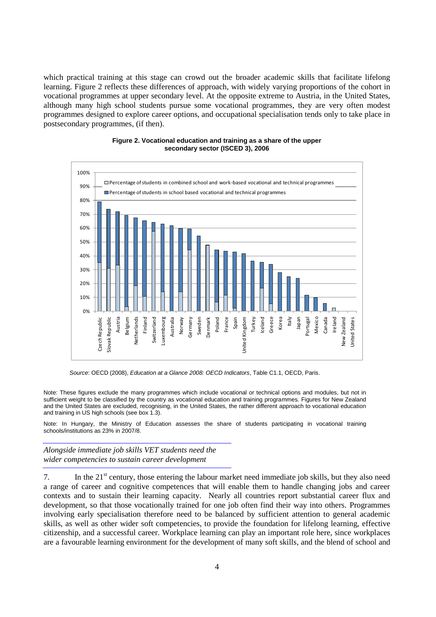which practical training at this stage can crowd out the broader academic skills that facilitate lifelong learning. Figure 2 reflects these differences of approach, with widely varying proportions of the cohort in vocational programmes at upper secondary level. At the opposite extreme to Austria, in the United States, although many high school students pursue some vocational programmes, they are very often modest programmes designed to explore career options, and occupational specialisation tends only to take place in postsecondary programmes, (if then).



#### **Figure 2. Vocational education and training as a share of the upper secondary sector (ISCED 3), 2006**

*Source*: OECD (2008), *Education at a Glance 2008: OECD Indicators*, Table C1.1, OECD, Paris.

Note: These figures exclude the many programmes which include vocational or technical options and modules, but not in sufficient weight to be classified by the country as vocational education and training programmes. Figures for New Zealand and the United States are excluded, recognising, in the United States, the rather different approach to vocational education and training in US high schools (see box 1.3).

Note: In Hungary, the Ministry of Education assesses the share of students participating in vocational training schools/institutions as 23% in 2007/8.

*Alongside immediate job skills VET students need the wider competencies to sustain career development*

7. In the 21<sup>st</sup> century, those entering the labour market need immediate job skills, but they also need a range of career and cognitive competences that will enable them to handle changing jobs and career contexts and to sustain their learning capacity. Nearly all countries report substantial career flux and development, so that those vocationally trained for one job often find their way into others. Programmes involving early specialisation therefore need to be balanced by sufficient attention to general academic skills, as well as other wider soft competencies, to provide the foundation for lifelong learning, effective citizenship, and a successful career. Workplace learning can play an important role here, since workplaces are a favourable learning environment for the development of many soft skills, and the blend of school and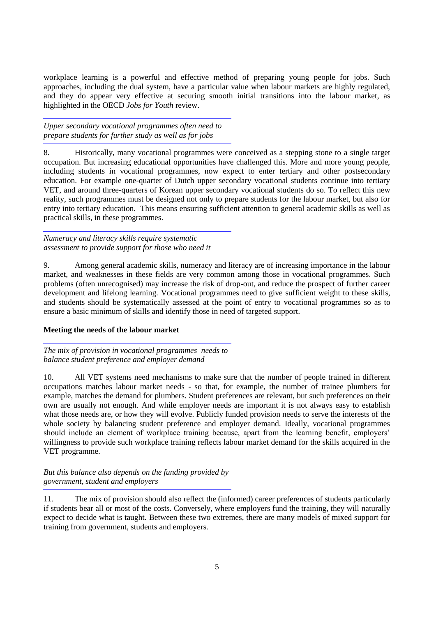workplace learning is a powerful and effective method of preparing young people for jobs. Such approaches, including the dual system, have a particular value when labour markets are highly regulated, and they do appear very effective at securing smooth initial transitions into the labour market, as highlighted in the OECD *Jobs for Youth* review.

*Upper secondary vocational programmes often need to prepare students for further study as well as for jobs*

8. Historically, many vocational programmes were conceived as a stepping stone to a single target occupation. But increasing educational opportunities have challenged this. More and more young people, including students in vocational programmes, now expect to enter tertiary and other postsecondary education. For example one-quarter of Dutch upper secondary vocational students continue into tertiary VET, and around three-quarters of Korean upper secondary vocational students do so. To reflect this new reality, such programmes must be designed not only to prepare students for the labour market, but also for entry into tertiary education. This means ensuring sufficient attention to general academic skills as well as practical skills, in these programmes.

*Numeracy and literacy skills require systematic assessment to provide support for those who need it* 

9. Among general academic skills, numeracy and literacy are of increasing importance in the labour market, and weaknesses in these fields are very common among those in vocational programmes. Such problems (often unrecognised) may increase the risk of drop-out, and reduce the prospect of further career development and lifelong learning. Vocational programmes need to give sufficient weight to these skills, and students should be systematically assessed at the point of entry to vocational programmes so as to ensure a basic minimum of skills and identify those in need of targeted support.

# **Meeting the needs of the labour market**

*The mix of provision in vocational programmes needs to balance student preference and employer demand*

10. All VET systems need mechanisms to make sure that the number of people trained in different occupations matches labour market needs - so that, for example, the number of trainee plumbers for example, matches the demand for plumbers. Student preferences are relevant, but such preferences on their own are usually not enough. And while employer needs are important it is not always easy to establish what those needs are, or how they will evolve. Publicly funded provision needs to serve the interests of the whole society by balancing student preference and employer demand. Ideally, vocational programmes should include an element of workplace training because, apart from the learning benefit, employers' willingness to provide such workplace training reflects labour market demand for the skills acquired in the VET programme.

*But this balance also depends on the funding provided by government, student and employers*

11. The mix of provision should also reflect the (informed) career preferences of students particularly if students bear all or most of the costs. Conversely, where employers fund the training, they will naturally expect to decide what is taught. Between these two extremes, there are many models of mixed support for training from government, students and employers.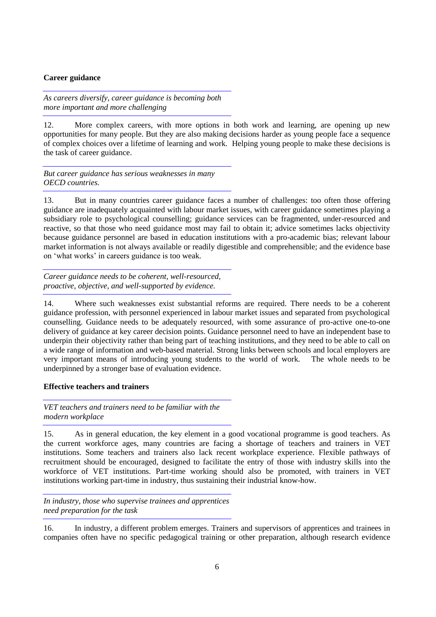# **Career guidance**

*As careers diversify, career guidance is becoming both more important and more challenging*

12. More complex careers, with more options in both work and learning, are opening up new opportunities for many people. But they are also making decisions harder as young people face a sequence of complex choices over a lifetime of learning and work. Helping young people to make these decisions is the task of career guidance.

*But career guidance has serious weaknesses in many OECD countries.*

13. But in many countries career guidance faces a number of challenges: too often those offering guidance are inadequately acquainted with labour market issues, with career guidance sometimes playing a subsidiary role to psychological counselling; guidance services can be fragmented, under-resourced and reactive, so that those who need guidance most may fail to obtain it; advice sometimes lacks objectivity because guidance personnel are based in education institutions with a pro-academic bias; relevant labour market information is not always available or readily digestible and comprehensible; and the evidence base on 'what works' in careers guidance is too weak.

*Career guidance needs to be coherent, well-resourced, proactive, objective, and well-supported by evidence.* 

14. Where such weaknesses exist substantial reforms are required. There needs to be a coherent guidance profession, with personnel experienced in labour market issues and separated from psychological counselling. Guidance needs to be adequately resourced, with some assurance of pro-active one-to-one delivery of guidance at key career decision points. Guidance personnel need to have an independent base to underpin their objectivity rather than being part of teaching institutions, and they need to be able to call on a wide range of information and web-based material. Strong links between schools and local employers are very important means of introducing young students to the world of work. The whole needs to be underpinned by a stronger base of evaluation evidence.

## **Effective teachers and trainers**

*VET teachers and trainers need to be familiar with the modern workplace*

15. As in general education, the key element in a good vocational programme is good teachers. As the current workforce ages, many countries are facing a shortage of teachers and trainers in VET institutions. Some teachers and trainers also lack recent workplace experience. Flexible pathways of recruitment should be encouraged, designed to facilitate the entry of those with industry skills into the workforce of VET institutions. Part-time working should also be promoted, with trainers in VET institutions working part-time in industry, thus sustaining their industrial know-how.

*In industry, those who supervise trainees and apprentices need preparation for the task*

16. In industry, a different problem emerges. Trainers and supervisors of apprentices and trainees in companies often have no specific pedagogical training or other preparation, although research evidence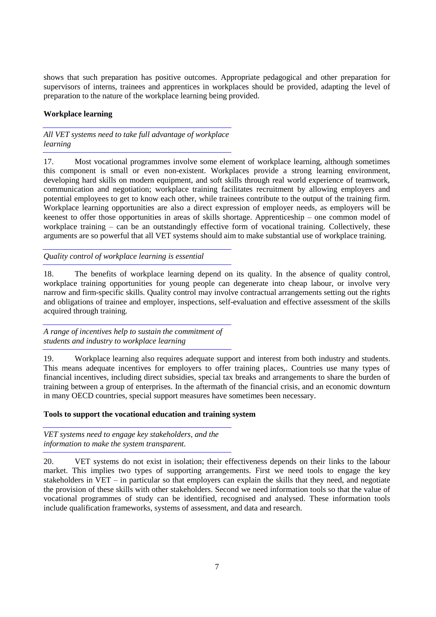shows that such preparation has positive outcomes. Appropriate pedagogical and other preparation for supervisors of interns, trainees and apprentices in workplaces should be provided, adapting the level of preparation to the nature of the workplace learning being provided.

# **Workplace learning**

*All VET systems need to take full advantage of workplace learning*

17. Most vocational programmes involve some element of workplace learning, although sometimes this component is small or even non-existent. Workplaces provide a strong learning environment, developing hard skills on modern equipment, and soft skills through real world experience of teamwork, communication and negotiation; workplace training facilitates recruitment by allowing employers and potential employees to get to know each other, while trainees contribute to the output of the training firm. Workplace learning opportunities are also a direct expression of employer needs, as employers will be keenest to offer those opportunities in areas of skills shortage. Apprenticeship – one common model of workplace training – can be an outstandingly effective form of vocational training. Collectively, these arguments are so powerful that all VET systems should aim to make substantial use of workplace training.

*Quality control of workplace learning is essential*

18. The benefits of workplace learning depend on its quality. In the absence of quality control, workplace training opportunities for young people can degenerate into cheap labour, or involve very narrow and firm-specific skills. Quality control may involve contractual arrangements setting out the rights and obligations of trainee and employer, inspections, self-evaluation and effective assessment of the skills acquired through training.

*A range of incentives help to sustain the commitment of students and industry to workplace learning*

19. Workplace learning also requires adequate support and interest from both industry and students. This means adequate incentives for employers to offer training places,. Countries use many types of financial incentives, including direct subsidies, special tax breaks and arrangements to share the burden of training between a group of enterprises. In the aftermath of the financial crisis, and an economic downturn in many OECD countries, special support measures have sometimes been necessary.

# **Tools to support the vocational education and training system**

*VET systems need to engage key stakeholders, and the information to make the system transparent.* 

20. VET systems do not exist in isolation; their effectiveness depends on their links to the labour market. This implies two types of supporting arrangements. First we need tools to engage the key stakeholders in VET – in particular so that employers can explain the skills that they need, and negotiate the provision of these skills with other stakeholders. Second we need information tools so that the value of vocational programmes of study can be identified, recognised and analysed. These information tools include qualification frameworks, systems of assessment, and data and research.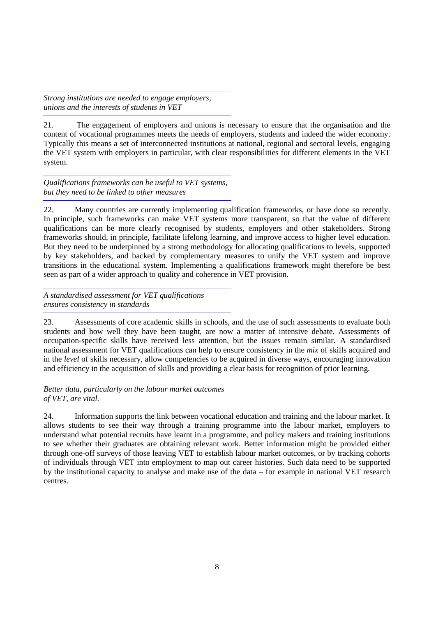*Strong institutions are needed to engage employers, unions and the interests of students in VET*

21. The engagement of employers and unions is necessary to ensure that the organisation and the content of vocational programmes meets the needs of employers, students and indeed the wider economy. Typically this means a set of interconnected institutions at national, regional and sectoral levels, engaging the VET system with employers in particular, with clear responsibilities for different elements in the VET system.

*Qualifications frameworks can be useful to VET systems, but they need to be linked to other measures*

22. Many countries are currently implementing qualification frameworks, or have done so recently. In principle, such frameworks can make VET systems more transparent, so that the value of different qualifications can be more clearly recognised by students, employers and other stakeholders. Strong frameworks should, in principle, facilitate lifelong learning, and improve access to higher level education. But they need to be underpinned by a strong methodology for allocating qualifications to levels, supported by key stakeholders, and backed by complementary measures to unify the VET system and improve transitions in the educational system. Implementing a qualifications framework might therefore be best seen as part of a wider approach to quality and coherence in VET provision.

*A standardised assessment for VET qualifications ensures consistency in standards*

23. Assessments of core academic skills in schools, and the use of such assessments to evaluate both students and how well they have been taught, are now a matter of intensive debate. Assessments of occupation-specific skills have received less attention, but the issues remain similar. A standardised national assessment for VET qualifications can help to ensure consistency in the *mix* of skills acquired and in the *level* of skills necessary, allow competencies to be acquired in diverse ways, encouraging innovation and efficiency in the acquisition of skills and providing a clear basis for recognition of prior learning.

*Better data, particularly on the labour market outcomes of VET, are vital.*

24. Information supports the link between vocational education and training and the labour market. It allows students to see their way through a training programme into the labour market, employers to understand what potential recruits have learnt in a programme, and policy makers and training institutions to see whether their graduates are obtaining relevant work. Better information might be provided either through one-off surveys of those leaving VET to establish labour market outcomes, or by tracking cohorts of individuals through VET into employment to map out career histories. Such data need to be supported by the institutional capacity to analyse and make use of the data – for example in national VET research centres.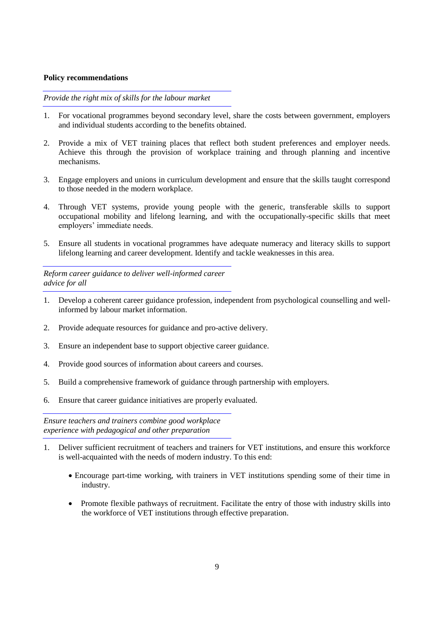## **Policy recommendations**

### *Provide the right mix of skills for the labour market*

- 1. For vocational programmes beyond secondary level, share the costs between government, employers and individual students according to the benefits obtained.
- 2. Provide a mix of VET training places that reflect both student preferences and employer needs. Achieve this through the provision of workplace training and through planning and incentive mechanisms.
- 3. Engage employers and unions in curriculum development and ensure that the skills taught correspond to those needed in the modern workplace.
- 4. Through VET systems, provide young people with the generic, transferable skills to support occupational mobility and lifelong learning, and with the occupationally-specific skills that meet employers' immediate needs.
- 5. Ensure all students in vocational programmes have adequate numeracy and literacy skills to support lifelong learning and career development. Identify and tackle weaknesses in this area.

*Reform career guidance to deliver well-informed career advice for all*

- 1. Develop a coherent career guidance profession, independent from psychological counselling and wellinformed by labour market information.
- 2. Provide adequate resources for guidance and pro-active delivery.
- 3. Ensure an independent base to support objective career guidance.
- 4. Provide good sources of information about careers and courses.
- 5. Build a comprehensive framework of guidance through partnership with employers.
- 6. Ensure that career guidance initiatives are properly evaluated.

*Ensure teachers and trainers combine good workplace experience with pedagogical and other preparation*

- 1. Deliver sufficient recruitment of teachers and trainers for VET institutions, and ensure this workforce is well-acquainted with the needs of modern industry. To this end:
	- Encourage part-time working, with trainers in VET institutions spending some of their time in industry.
	- Promote flexible pathways of recruitment. Facilitate the entry of those with industry skills into the workforce of VET institutions through effective preparation.